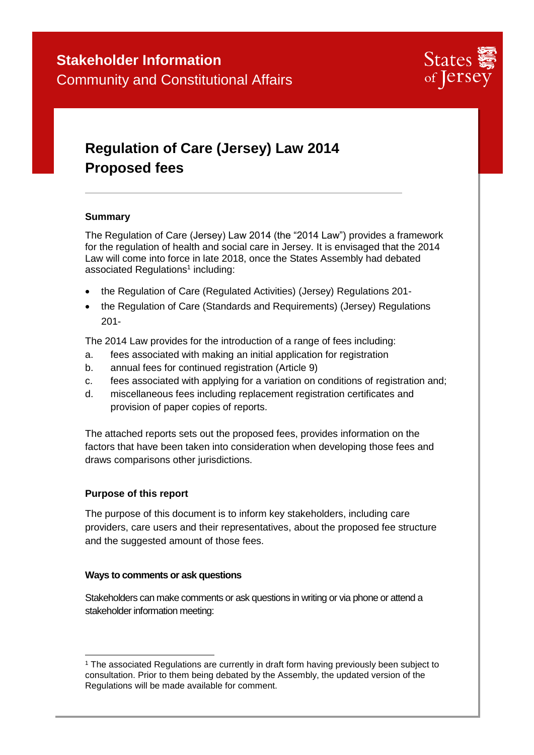

# **Regulation of Care (Jersey) Law 2014 Proposed fees**

## **Summary**

The Regulation of Care (Jersey) Law 2014 (the "2014 Law") provides a framework for the regulation of health and social care in Jersey. It is envisaged that the 2014 Law will come into force in late 2018, once the States Assembly had debated associated Regulations<sup>1</sup> including:

- the Regulation of Care (Regulated Activities) (Jersey) Regulations 201-
- the Regulation of Care (Standards and Requirements) (Jersey) Regulations 201-

The 2014 Law provides for the introduction of a range of fees including:

- a. fees associated with making an initial application for registration
- b. annual fees for continued registration (Article 9)
- c. fees associated with applying for a variation on conditions of registration and;
- d. miscellaneous fees including replacement registration certificates and provision of paper copies of reports.

The attached reports sets out the proposed fees, provides information on the factors that have been taken into consideration when developing those fees and draws comparisons other jurisdictions.

## **Purpose of this report**

The purpose of this document is to inform key stakeholders, including care providers, care users and their representatives, about the proposed fee structure and the suggested amount of those fees.

## **Ways to comments or ask questions**

Stakeholders can make comments or ask questions in writing or via phone or attend a stakeholder information meeting:

<sup>-</sup><sup>1</sup> The associated Regulations are currently in draft form having previously been subject to consultation. Prior to them being debated by the Assembly, the updated version of the Regulations will be made available for comment.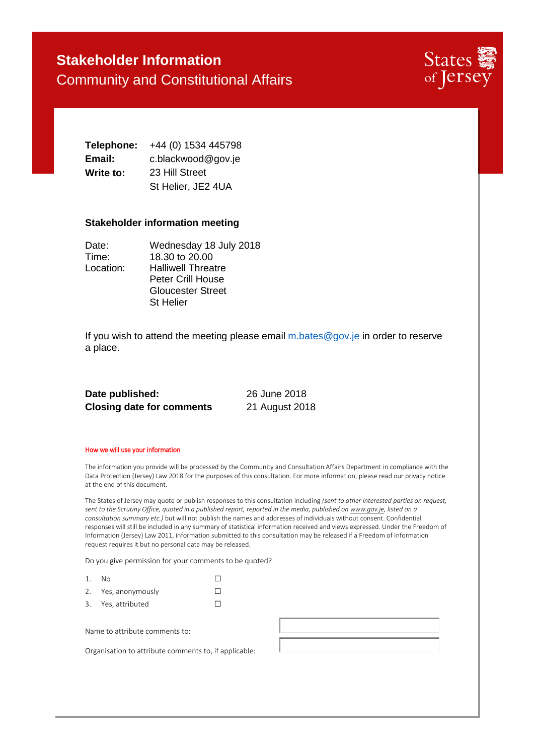## **Stakeholder Information** Community and Constitutional Affairs



**Telephone:** +44 (0) 1534 445798 **Email:** c.blackwood@gov.je **Write to:** 23 Hill Street St Helier, JE2 4UA

#### **Stakeholder information meeting**

| Date:     | Wednesday 18 July 2018    |
|-----------|---------------------------|
| Time:     | 18.30 to 20.00            |
| Location: | <b>Halliwell Threatre</b> |
|           | <b>Peter Crill House</b>  |
|           | <b>Gloucester Street</b>  |
|           | <b>St Helier</b>          |

If you wish to attend the meeting please email  $m$  bates @gov.je in order to reserve a place.

| Date published:                  | 26 June 2018   |  |
|----------------------------------|----------------|--|
| <b>Closing date for comments</b> | 21 August 2018 |  |

#### How we will use your information

The information you provide will be processed by the Community and Consultation Affairs Department in compliance with the Data Protection (Jersey) Law 2018 for the purposes of this consultation. For more information, please read our privacy notice at the end of this document.

The States of Jersey may quote or publish responses to this consultation including *(sent to other interested parties on request, sent to the Scrutiny Office, quoted in a published report, reported in the media, published o[n www.gov.je,](http://www.gov.je/) listed on a consultation summary etc.)* but will not publish the names and addresses of individuals without consent. Confidential responses will still be included in any summary of statistical information received and views expressed. Under the Freedom of Information (Jersey) Law 2011, information submitted to this consultation may be released if a Freedom of Information request requires it but no personal data may be released.

Do you give permission for your comments to be quoted?

| – N∩                |  |
|---------------------|--|
| 2. Yes, anonymously |  |

3. Yes, attributed □

Name to attribute comments to:

Organisation to attribute comments to, if applicable: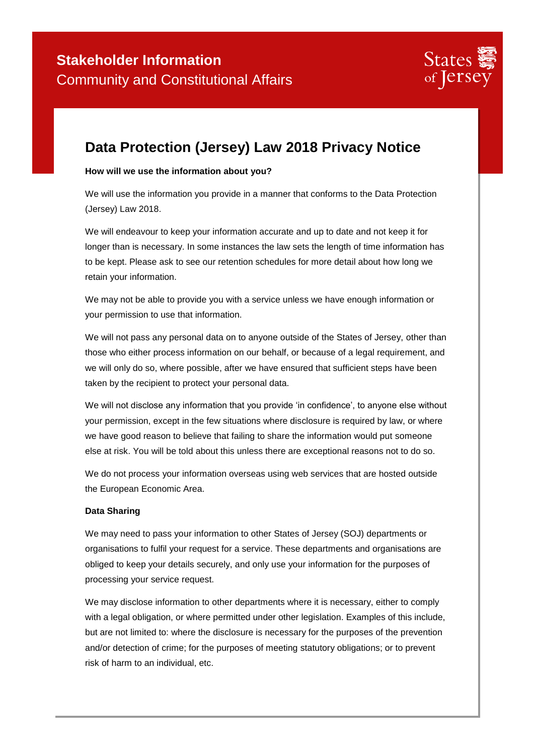

## **Data Protection (Jersey) Law 2018 Privacy Notice**

## **How will we use the information about you?**

We will use the information you provide in a manner that conforms to the Data Protection (Jersey) Law 2018.

We will endeavour to keep your information accurate and up to date and not keep it for longer than is necessary. In some instances the law sets the length of time information has to be kept. Please ask to see our retention schedules for more detail about how long we retain your information.

We may not be able to provide you with a service unless we have enough information or your permission to use that information.

We will not pass any personal data on to anyone outside of the States of Jersey, other than those who either process information on our behalf, or because of a legal requirement, and we will only do so, where possible, after we have ensured that sufficient steps have been taken by the recipient to protect your personal data.

We will not disclose any information that you provide 'in confidence', to anyone else without your permission, except in the few situations where disclosure is required by law, or where we have good reason to believe that failing to share the information would put someone else at risk. You will be told about this unless there are exceptional reasons not to do so.

We do not process your information overseas using web services that are hosted outside the European Economic Area.

#### **Data Sharing**

We may need to pass your information to other States of Jersey (SOJ) departments or organisations to fulfil your request for a service. These departments and organisations are obliged to keep your details securely, and only use your information for the purposes of processing your service request.

We may disclose information to other departments where it is necessary, either to comply with a legal obligation, or where permitted under other legislation. Examples of this include, but are not limited to: where the disclosure is necessary for the purposes of the prevention and/or detection of crime; for the purposes of meeting statutory obligations; or to prevent risk of harm to an individual, etc.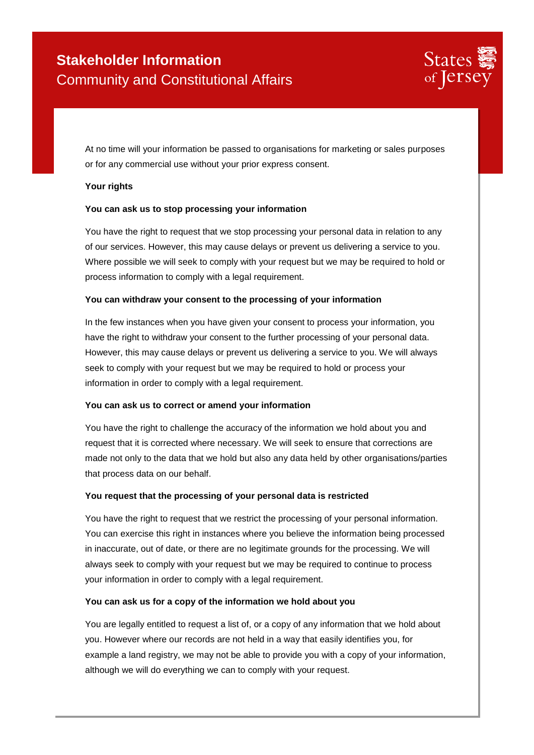

At no time will your information be passed to organisations for marketing or sales purposes or for any commercial use without your prior express consent.

## **Your rights**

## **You can ask us to stop processing your information**

You have the right to request that we stop processing your personal data in relation to any of our services. However, this may cause delays or prevent us delivering a service to you. Where possible we will seek to comply with your request but we may be required to hold or process information to comply with a legal requirement.

## **You can withdraw your consent to the processing of your information**

In the few instances when you have given your consent to process your information, you have the right to withdraw your consent to the further processing of your personal data. However, this may cause delays or prevent us delivering a service to you. We will always seek to comply with your request but we may be required to hold or process your information in order to comply with a legal requirement.

## **You can ask us to correct or amend your information**

You have the right to challenge the accuracy of the information we hold about you and request that it is corrected where necessary. We will seek to ensure that corrections are made not only to the data that we hold but also any data held by other organisations/parties that process data on our behalf.

## **You request that the processing of your personal data is restricted**

You have the right to request that we restrict the processing of your personal information. You can exercise this right in instances where you believe the information being processed in inaccurate, out of date, or there are no legitimate grounds for the processing. We will always seek to comply with your request but we may be required to continue to process your information in order to comply with a legal requirement.

## **You can ask us for a copy of the information we hold about you**

You are legally entitled to request a list of, or a copy of any information that we hold about you. However where our records are not held in a way that easily identifies you, for example a land registry, we may not be able to provide you with a copy of your information, although we will do everything we can to comply with your request.